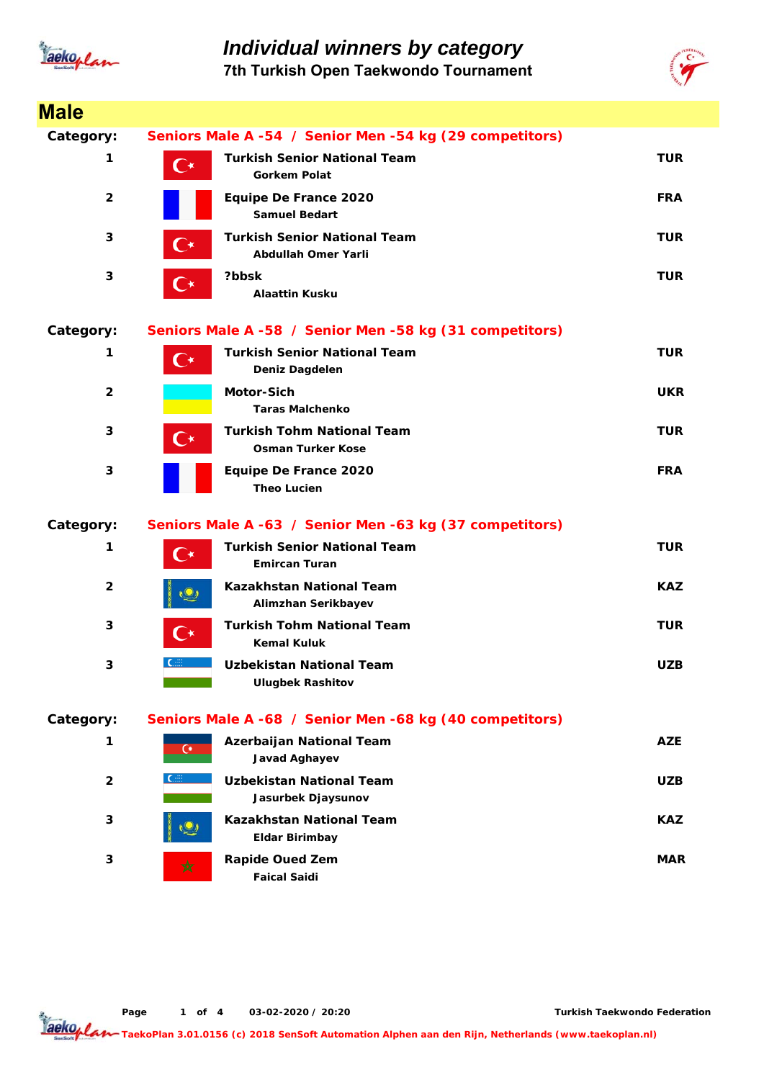

## *Individual winners by category*

**7th Turkish Open Taekwondo Tournament**



| <b>Male</b>    |                                                         |                                                               |            |  |  |
|----------------|---------------------------------------------------------|---------------------------------------------------------------|------------|--|--|
| Category:      | Seniors Male A -54 / Senior Men -54 kg (29 competitors) |                                                               |            |  |  |
| 1              | $\mathbf{C}^\star$                                      | <b>Turkish Senior National Team</b><br><b>Gorkem Polat</b>    | <b>TUR</b> |  |  |
| $\overline{2}$ |                                                         | <b>Equipe De France 2020</b><br><b>Samuel Bedart</b>          | <b>FRA</b> |  |  |
| 3              | $\mathbf{C}^{\star}$                                    | <b>Turkish Senior National Team</b><br>Abdullah Omer Yarli    | TUR        |  |  |
| 3              | С∗                                                      | ?bbsk<br><b>Alaattin Kusku</b>                                | <b>TUR</b> |  |  |
| Category:      |                                                         | Seniors Male A -58 / Senior Men -58 kg (31 competitors)       |            |  |  |
| 1              | $\mathsf{C}^\star$                                      | <b>Turkish Senior National Team</b><br>Deniz Dagdelen         | <b>TUR</b> |  |  |
| $\overline{2}$ |                                                         | <b>Motor-Sich</b><br><b>Taras Malchenko</b>                   | <b>UKR</b> |  |  |
| 3              | C∗                                                      | <b>Turkish Tohm National Team</b><br><b>Osman Turker Kose</b> | <b>TUR</b> |  |  |
| 3              |                                                         | Equipe De France 2020<br><b>Theo Lucien</b>                   | <b>FRA</b> |  |  |
| Category:      |                                                         | Seniors Male A -63 / Senior Men -63 kg (37 competitors)       |            |  |  |
| 1              | $\mathsf{C}^\star$                                      | <b>Turkish Senior National Team</b><br><b>Emircan Turan</b>   | <b>TUR</b> |  |  |
| $\overline{2}$ |                                                         | <b>Kazakhstan National Team</b><br>Alimzhan Serikbayev        | <b>KAZ</b> |  |  |
| 3              |                                                         | <b>Turkish Tohm National Team</b><br><b>Kemal Kuluk</b>       | <b>TUR</b> |  |  |
| 3              |                                                         | <b>Uzbekistan National Team</b><br><b>Ulugbek Rashitov</b>    | <b>UZB</b> |  |  |
| Category:      |                                                         | Seniors Male A -68 / Senior Men -68 kg (40 competitors)       |            |  |  |
| 1              | $\mathbf{C}$                                            | Azerbaijan National Team<br>Javad Aghayev                     | <b>AZE</b> |  |  |
| $\overline{2}$ |                                                         | <b>Uzbekistan National Team</b><br>Jasurbek Djaysunov         | <b>UZB</b> |  |  |
| 3              |                                                         | <b>Kazakhstan National Team</b><br><b>Eldar Birimbay</b>      | <b>KAZ</b> |  |  |
| 3              | ☆                                                       | <b>Rapide Oued Zem</b><br><b>Faical Saidi</b>                 | <b>MAR</b> |  |  |

**Page o 1 f 4 03-02-2020 / 20:20**

**Turkish Taekwondo Federation**

**TaekoPlan 3.01.0156 (c) 2018 SenSoft Automation Alphen aan den Rijn, Netherlands (www.taekoplan.nl)**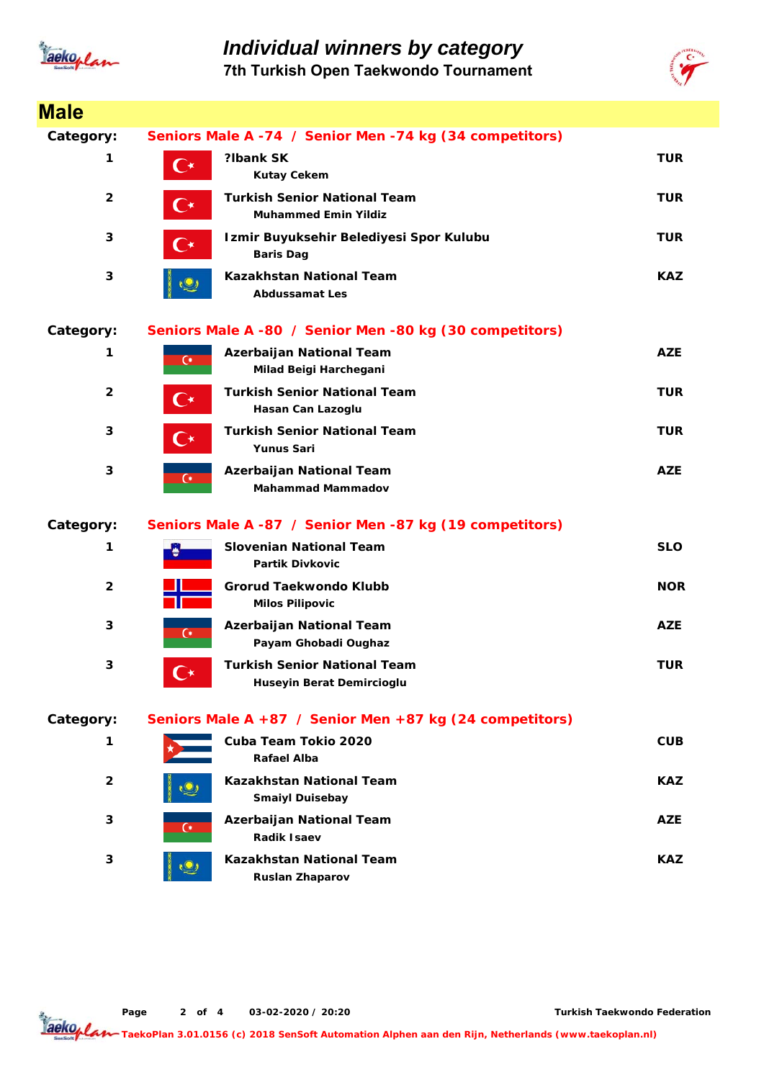

*Individual winners by category* **7th Turkish Open Taekwondo Tournament**



| <b>Male</b>             |                                                         |                                                                    |            |  |
|-------------------------|---------------------------------------------------------|--------------------------------------------------------------------|------------|--|
| Category:               | Seniors Male A -74 / Senior Men -74 kg (34 competitors) |                                                                    |            |  |
| 1                       | $\mathbf{C}^{\star}$                                    | ?Ibank SK<br><b>Kutay Cekem</b>                                    | <b>TUR</b> |  |
| $\overline{\mathbf{2}}$ | С∗                                                      | <b>Turkish Senior National Team</b><br><b>Muhammed Emin Yildiz</b> | TUR        |  |
| 3                       | C*                                                      | Izmir Buyuksehir Belediyesi Spor Kulubu<br><b>Baris Dag</b>        | <b>TUR</b> |  |
| 3                       |                                                         | <b>Kazakhstan National Team</b><br><b>Abdussamat Les</b>           | <b>KAZ</b> |  |
| Category:               |                                                         | Seniors Male A -80 / Senior Men -80 kg (30 competitors)            |            |  |
| 1                       | $\overline{C}$                                          | Azerbaijan National Team<br>Milad Beigi Harchegani                 | <b>AZE</b> |  |
| $\overline{2}$          | C∗                                                      | <b>Turkish Senior National Team</b><br>Hasan Can Lazoglu           | <b>TUR</b> |  |
| 3                       | С∗                                                      | <b>Turkish Senior National Team</b><br><b>Yunus Sari</b>           | <b>TUR</b> |  |
| 3                       | $\mathbf{C}$                                            | Azerbaijan National Team<br><b>Mahammad Mammadov</b>               | <b>AZE</b> |  |
| Category:               |                                                         | Seniors Male A -87 / Senior Men -87 kg (19 competitors)            |            |  |
| 1                       |                                                         | <b>Slovenian National Team</b><br><b>Partik Divkovic</b>           | <b>SLO</b> |  |
| $\overline{2}$          |                                                         | Grorud Taekwondo Klubb<br><b>Milos Pilipovic</b>                   | <b>NOR</b> |  |
| 3                       | $\overline{C}$                                          | Azerbaijan National Team<br>Payam Ghobadi Oughaz                   | <b>AZE</b> |  |
| 3                       | $\Gamma^*$                                              | <b>Turkish Senior National Team</b><br>Huseyin Berat Demircioglu   | <b>TUR</b> |  |
| Category:               |                                                         | Seniors Male A +87 / Senior Men +87 kg (24 competitors)            |            |  |
| 1                       |                                                         | Cuba Team Tokio 2020<br><b>Rafael Alba</b>                         | <b>CUB</b> |  |
| $\overline{2}$          |                                                         | <b>Kazakhstan National Team</b><br><b>Smaiyl Duisebay</b>          | <b>KAZ</b> |  |
| 3                       | $\mathbf{G}$                                            | Azerbaijan National Team<br><b>Radik Isaev</b>                     | <b>AZE</b> |  |
| 3                       |                                                         | <b>Kazakhstan National Team</b><br><b>Ruslan Zhaparov</b>          | KAZ.       |  |

**Page o 2 f 4 03-02-2020 / 20:20**

**Turkish Taekwondo Federation**

**TaekoPlan 3.01.0156 (c) 2018 SenSoft Automation Alphen aan den Rijn, Netherlands (www.taekoplan.nl)**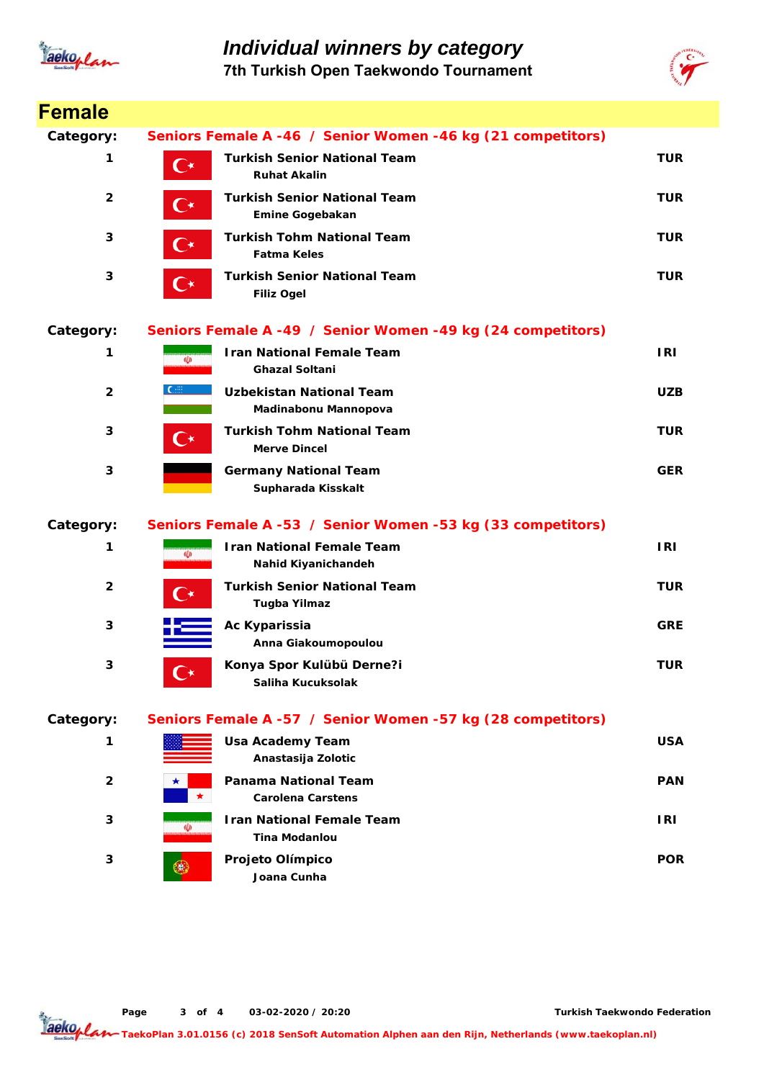

*Individual winners by category* **7th Turkish Open Taekwondo Tournament**



| <b>Female</b>           |                                                             |                                                             |            |  |
|-------------------------|-------------------------------------------------------------|-------------------------------------------------------------|------------|--|
| Category:               | Seniors Female A -46 / Senior Women -46 kg (21 competitors) |                                                             |            |  |
| 1                       | $\mathbf{C}^{\star}$                                        | <b>Turkish Senior National Team</b><br><b>Ruhat Akalin</b>  | <b>TUR</b> |  |
| $\overline{\mathbf{2}}$ | $\mathbf{C}^\star$                                          | <b>Turkish Senior National Team</b><br>Emine Gogebakan      | <b>TUR</b> |  |
| 3                       | $\mathbf{C}^{\star}$                                        | <b>Turkish Tohm National Team</b><br><b>Fatma Keles</b>     | <b>TUR</b> |  |
| 3                       | $\mathbf{C}^{\star}$                                        | <b>Turkish Senior National Team</b><br><b>Filiz Ogel</b>    | <b>TUR</b> |  |
| Category:               |                                                             | Seniors Female A -49 / Senior Women -49 kg (24 competitors) |            |  |
| 1                       | $\Phi$                                                      | <b>Iran National Female Team</b><br><b>Ghazal Soltani</b>   | <b>IRI</b> |  |
| $\mathbf{2}$            | College of                                                  | <b>Uzbekistan National Team</b><br>Madinabonu Mannopova     | <b>UZB</b> |  |
| 3                       | $\mathbf{C}^{\star}$                                        | <b>Turkish Tohm National Team</b><br><b>Merve Dincel</b>    | <b>TUR</b> |  |
| 3                       |                                                             | <b>Germany National Team</b><br>Supharada Kisskalt          | <b>GER</b> |  |
| Category:               |                                                             | Seniors Female A -53 / Senior Women -53 kg (33 competitors) |            |  |
| 1                       | <b>Ü</b>                                                    | <b>Iran National Female Team</b><br>Nahid Kiyanichandeh     | <b>IRI</b> |  |
| $\overline{\mathbf{2}}$ | ( ∗                                                         | <b>Turkish Senior National Team</b><br>Tugba Yilmaz         | <b>TUR</b> |  |
| 3                       |                                                             | Ac Kyparissia<br>Anna Giakoumopoulou                        | <b>GRE</b> |  |
| 3                       | $\curvearrowright$                                          | Konya Spor Kulübü Derne?i<br>Saliha Kucuksolak              | <b>TUR</b> |  |
| Category:               |                                                             | Seniors Female A -57 / Senior Women -57 kg (28 competitors) |            |  |
| 1                       |                                                             | <b>Usa Academy Team</b><br>Anastasija Zolotic               | <b>USA</b> |  |
| $\overline{\mathbf{2}}$ |                                                             | <b>Panama National Team</b><br><b>Carolena Carstens</b>     | <b>PAN</b> |  |
| 3                       | CD                                                          | <b>Iran National Female Team</b><br><b>Tina Modanlou</b>    | I RI       |  |
| 3                       |                                                             | Projeto Olímpico<br>Joana Cunha                             | <b>POR</b> |  |

**Page o 3 f 4 03-02-2020 / 20:20**

**Turkish Taekwondo Federation**

**TaekoPlan 3.01.0156 (c) 2018 SenSoft Automation Alphen aan den Rijn, Netherlands (www.taekoplan.nl)**